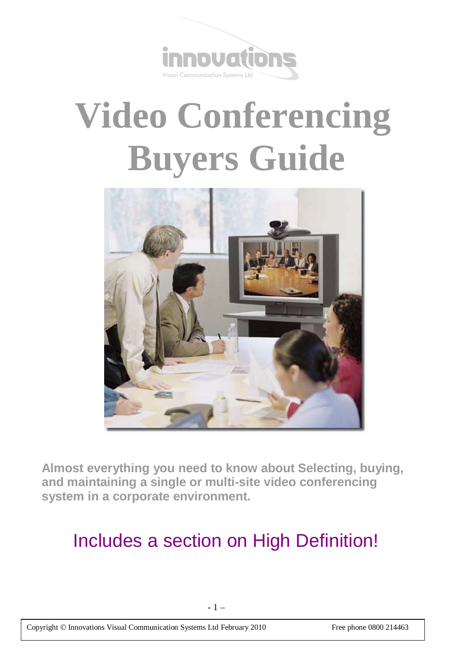

# **Video Conferencing Buyers Guide**



**Almost everything you need to know about Selecting, buying, and maintaining a single or multi-site video conferencing system in a corporate environment.**

# Includes a section on High Definition!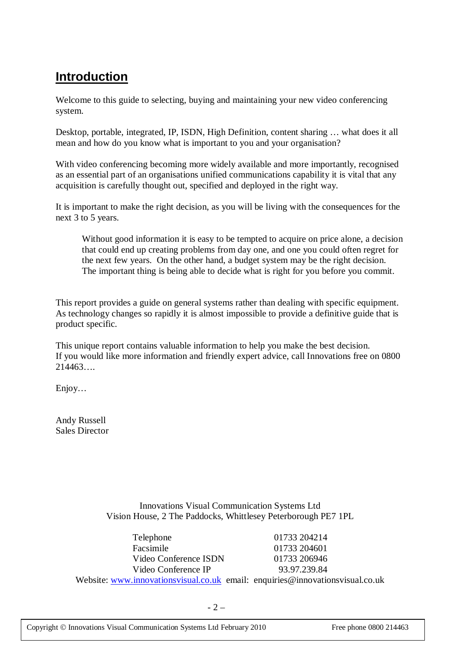# **Introduction**

Welcome to this guide to selecting, buying and maintaining your new video conferencing system.

Desktop, portable, integrated, IP, ISDN, High Definition, content sharing … what does it all mean and how do you know what is important to you and your organisation?

With video conferencing becoming more widely available and more importantly, recognised as an essential part of an organisations unified communications capability it is vital that any acquisition is carefully thought out, specified and deployed in the right way.

It is important to make the right decision, as you will be living with the consequences for the next 3 to 5 years.

Without good information it is easy to be tempted to acquire on price alone, a decision that could end up creating problems from day one, and one you could often regret for the next few years. On the other hand, a budget system may be the right decision. The important thing is being able to decide what is right for you before you commit.

This report provides a guide on general systems rather than dealing with specific equipment. As technology changes so rapidly it is almost impossible to provide a definitive guide that is product specific.

This unique report contains valuable information to help you make the best decision. If you would like more information and friendly expert advice, call Innovations free on 0800  $214463...$ 

Enjoy…

Andy Russell Sales Director

> Innovations Visual Communication Systems Ltd Vision House, 2 The Paddocks, Whittlesey Peterborough PE7 1PL

Telephone 01733 204214 Facsimile 01733 204601 Video Conference ISDN 01733 206946 Video Conference IP 93.97.239.84 Website: www.innovationsvisual.co.uk email: enquiries@innovationsvisual.co.uk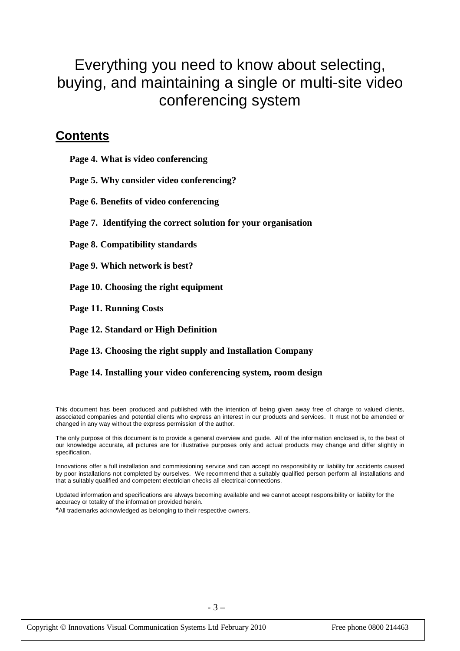# Everything you need to know about selecting, buying, and maintaining a single or multi-site video conferencing system

### **Contents**

**Page 4. What is video conferencing**

**Page 5. Why consider video conferencing?**

**Page 6. Benefits of video conferencing**

**Page 7. Identifying the correct solution for your organisation**

**Page 8. Compatibility standards** 

**Page 9. Which network is best?**

**Page 10. Choosing the right equipment**

**Page 11. Running Costs**

**Page 12. Standard or High Definition** 

**Page 13. Choosing the right supply and Installation Company**

**Page 14. Installing your video conferencing system, room design**

This document has been produced and published with the intention of being given away free of charge to valued clients, associated companies and potential clients who express an interest in our products and services. It must not be amended or changed in any way without the express permission of the author.

The only purpose of this document is to provide a general overview and guide. All of the information enclosed is, to the best of our knowledge accurate, all pictures are for illustrative purposes only and actual products may change and differ slightly in specification.

Innovations offer a full installation and commissioning service and can accept no responsibility or liability for accidents caused by poor installations not completed by ourselves. We recommend that a suitably qualified person perform all installations and that a suitably qualified and competent electrician checks all electrical connections.

Updated information and specifications are always becoming available and we cannot accept responsibility or liability for the accuracy or totality of the information provided herein.

\*All trademarks acknowledged as belonging to their respective owners.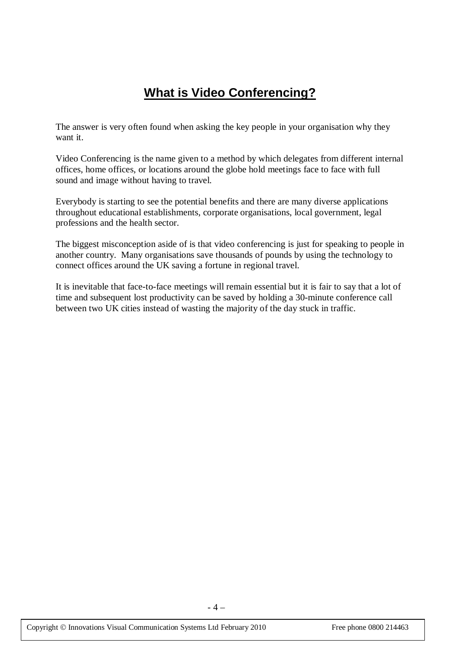# **What is Video Conferencing?**

The answer is very often found when asking the key people in your organisation why they want it.

Video Conferencing is the name given to a method by which delegates from different internal offices, home offices, or locations around the globe hold meetings face to face with full sound and image without having to travel.

Everybody is starting to see the potential benefits and there are many diverse applications throughout educational establishments, corporate organisations, local government, legal professions and the health sector.

The biggest misconception aside of is that video conferencing is just for speaking to people in another country. Many organisations save thousands of pounds by using the technology to connect offices around the UK saving a fortune in regional travel.

It is inevitable that face-to-face meetings will remain essential but it is fair to say that a lot of time and subsequent lost productivity can be saved by holding a 30-minute conference call between two UK cities instead of wasting the majority of the day stuck in traffic.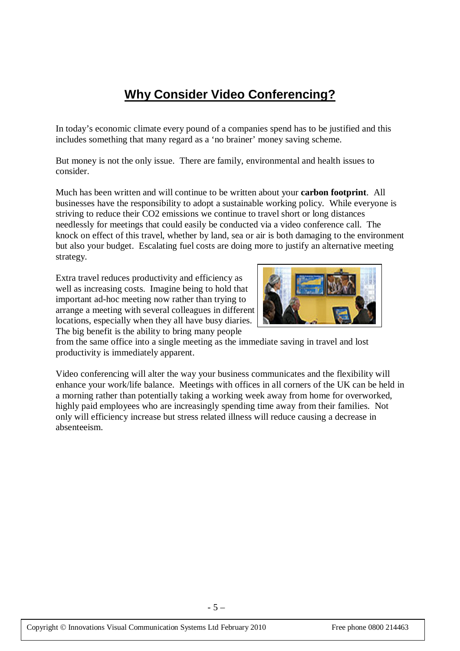# **Why Consider Video Conferencing?**

In today's economic climate every pound of a companies spend has to be justified and this includes something that many regard as a 'no brainer' money saving scheme.

But money is not the only issue. There are family, environmental and health issues to consider.

Much has been written and will continue to be written about your **carbon footprint**. All businesses have the responsibility to adopt a sustainable working policy. While everyone is striving to reduce their CO2 emissions we continue to travel short or long distances needlessly for meetings that could easily be conducted via a video conference call. The knock on effect of this travel, whether by land, sea or air is both damaging to the environment but also your budget. Escalating fuel costs are doing more to justify an alternative meeting strategy.

Extra travel reduces productivity and efficiency as well as increasing costs. Imagine being to hold that important ad-hoc meeting now rather than trying to arrange a meeting with several colleagues in different locations, especially when they all have busy diaries. The big benefit is the ability to bring many people



from the same office into a single meeting as the immediate saving in travel and lost productivity is immediately apparent.

Video conferencing will alter the way your business communicates and the flexibility will enhance your work/life balance. Meetings with offices in all corners of the UK can be held in a morning rather than potentially taking a working week away from home for overworked, highly paid employees who are increasingly spending time away from their families. Not only will efficiency increase but stress related illness will reduce causing a decrease in absenteeism.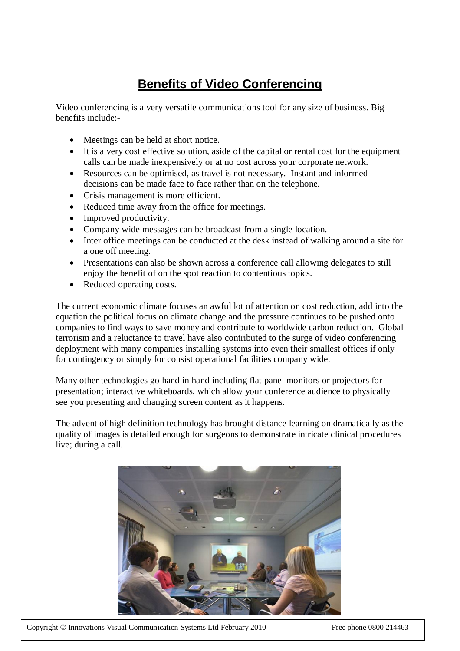# **Benefits of Video Conferencing**

Video conferencing is a very versatile communications tool for any size of business. Big benefits include:-

- Meetings can be held at short notice.
- It is a very cost effective solution, aside of the capital or rental cost for the equipment calls can be made inexpensively or at no cost across your corporate network.
- Resources can be optimised, as travel is not necessary. Instant and informed decisions can be made face to face rather than on the telephone.
- Crisis management is more efficient.
- Reduced time away from the office for meetings.
- Improved productivity.
- Company wide messages can be broadcast from a single location.
- Inter office meetings can be conducted at the desk instead of walking around a site for a one off meeting.
- Presentations can also be shown across a conference call allowing delegates to still enjoy the benefit of on the spot reaction to contentious topics.
- Reduced operating costs.

The current economic climate focuses an awful lot of attention on cost reduction, add into the equation the political focus on climate change and the pressure continues to be pushed onto companies to find ways to save money and contribute to worldwide carbon reduction. Global terrorism and a reluctance to travel have also contributed to the surge of video conferencing deployment with many companies installing systems into even their smallest offices if only for contingency or simply for consist operational facilities company wide.

Many other technologies go hand in hand including flat panel monitors or projectors for presentation; interactive whiteboards, which allow your conference audience to physically see you presenting and changing screen content as it happens.

The advent of high definition technology has brought distance learning on dramatically as the quality of images is detailed enough for surgeons to demonstrate intricate clinical procedures live; during a call.



Copyright © Innovations Visual Communication Systems Ltd February 2010 Free phone 0800 214463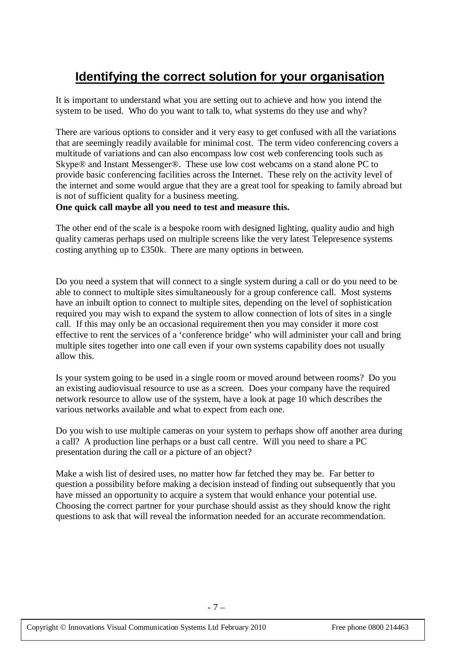# **Identifying the correct solution for your organisation**

It is important to understand what you are setting out to achieve and how you intend the system to be used. Who do you want to talk to, what systems do they use and why?

There are various options to consider and it very easy to get confused with all the variations that are seemingly readily available for minimal cost. The term video conferencing covers a multitude of variations and can also encompass low cost web conferencing tools such as Skype® and Instant Messenger®. These use low cost webcams on a stand alone PC to provide basic conferencing facilities across the Internet. These rely on the activity level of the internet and some would argue that they are a great tool for speaking to family abroad but is not of sufficient quality for a business meeting.

#### **One quick call maybe all you need to test and measure this.**

The other end of the scale is a bespoke room with designed lighting, quality audio and high quality cameras perhaps used on multiple screens like the very latest Telepresence systems costing anything up to £350k. There are many options in between.

Do you need a system that will connect to a single system during a call or do you need to be able to connect to multiple sites simultaneously for a group conference call. Most systems have an inbuilt option to connect to multiple sites, depending on the level of sophistication required you may wish to expand the system to allow connection of lots of sites in a single call. If this may only be an occasional requirement then you may consider it more cost effective to rent the services of a 'conference bridge' who will administer your call and bring multiple sites together into one call even if your own systems capability does not usually allow this.

Is your system going to be used in a single room or moved around between rooms? Do you an existing audiovisual resource to use as a screen. Does your company have the required network resource to allow use of the system, have a look at page 10 which describes the various networks available and what to expect from each one.

Do you wish to use multiple cameras on your system to perhaps show off another area during a call? A production line perhaps or a bust call centre. Will you need to share a PC presentation during the call or a picture of an object?

Make a wish list of desired uses, no matter how far fetched they may be. Far better to question a possibility before making a decision instead of finding out subsequently that you have missed an opportunity to acquire a system that would enhance your potential use. Choosing the correct partner for your purchase should assist as they should know the right questions to ask that will reveal the information needed for an accurate recommendation.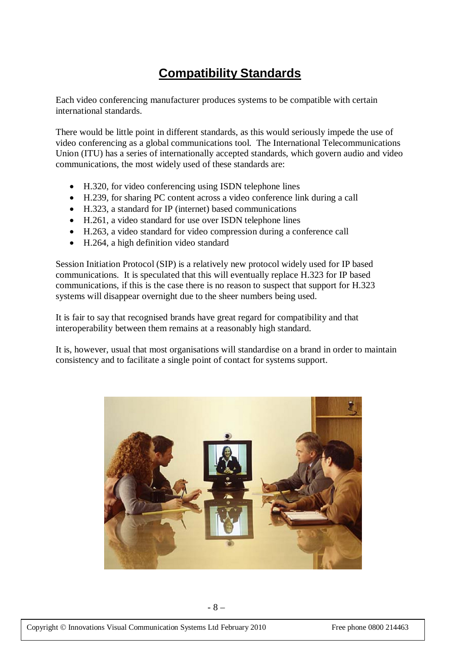## **Compatibility Standards**

Each video conferencing manufacturer produces systems to be compatible with certain international standards.

There would be little point in different standards, as this would seriously impede the use of video conferencing as a global communications tool. The International Telecommunications Union (ITU) has a series of internationally accepted standards, which govern audio and video communications, the most widely used of these standards are:

- H.320, for video conferencing using ISDN telephone lines
- H.239, for sharing PC content across a video conference link during a call
- H.323, a standard for IP (internet) based communications
- H.261, a video standard for use over ISDN telephone lines
- H.263, a video standard for video compression during a conference call
- H.264, a high definition video standard

Session Initiation Protocol (SIP) is a relatively new protocol widely used for IP based communications. It is speculated that this will eventually replace H.323 for IP based communications, if this is the case there is no reason to suspect that support for H.323 systems will disappear overnight due to the sheer numbers being used.

It is fair to say that recognised brands have great regard for compatibility and that interoperability between them remains at a reasonably high standard.

It is, however, usual that most organisations will standardise on a brand in order to maintain consistency and to facilitate a single point of contact for systems support.

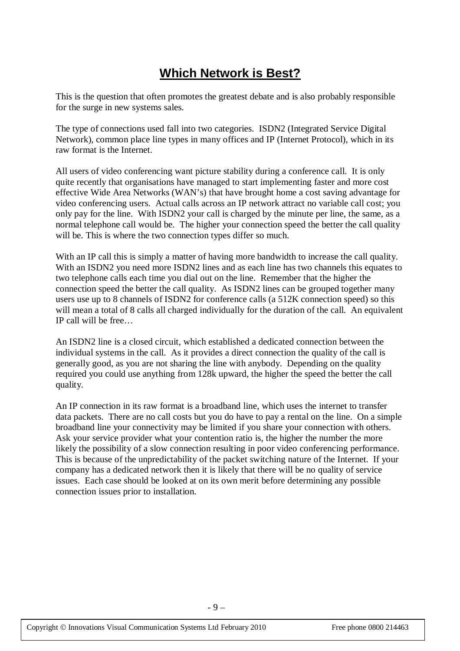## **Which Network is Best?**

This is the question that often promotes the greatest debate and is also probably responsible for the surge in new systems sales.

The type of connections used fall into two categories. ISDN2 (Integrated Service Digital Network), common place line types in many offices and IP (Internet Protocol), which in its raw format is the Internet.

All users of video conferencing want picture stability during a conference call. It is only quite recently that organisations have managed to start implementing faster and more cost effective Wide Area Networks (WAN's) that have brought home a cost saving advantage for video conferencing users. Actual calls across an IP network attract no variable call cost; you only pay for the line. With ISDN2 your call is charged by the minute per line, the same, as a normal telephone call would be. The higher your connection speed the better the call quality will be. This is where the two connection types differ so much.

With an IP call this is simply a matter of having more bandwidth to increase the call quality. With an ISDN2 you need more ISDN2 lines and as each line has two channels this equates to two telephone calls each time you dial out on the line. Remember that the higher the connection speed the better the call quality. As ISDN2 lines can be grouped together many users use up to 8 channels of ISDN2 for conference calls (a 512K connection speed) so this will mean a total of 8 calls all charged individually for the duration of the call. An equivalent IP call will be free…

An ISDN2 line is a closed circuit, which established a dedicated connection between the individual systems in the call. As it provides a direct connection the quality of the call is generally good, as you are not sharing the line with anybody. Depending on the quality required you could use anything from 128k upward, the higher the speed the better the call quality.

An IP connection in its raw format is a broadband line, which uses the internet to transfer data packets. There are no call costs but you do have to pay a rental on the line. On a simple broadband line your connectivity may be limited if you share your connection with others. Ask your service provider what your contention ratio is, the higher the number the more likely the possibility of a slow connection resulting in poor video conferencing performance. This is because of the unpredictability of the packet switching nature of the Internet. If your company has a dedicated network then it is likely that there will be no quality of service issues. Each case should be looked at on its own merit before determining any possible connection issues prior to installation.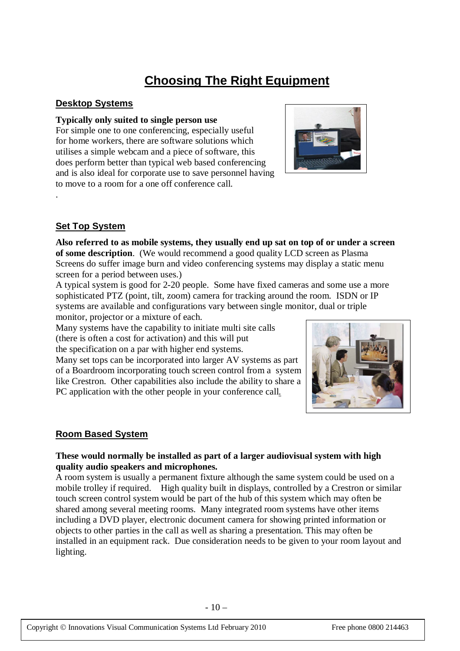# **Choosing The Right Equipment**

#### **Desktop Systems**

#### **Typically only suited to single person use**

For simple one to one conferencing, especially useful for home workers, there are software solutions which utilises a simple webcam and a piece of software, this does perform better than typical web based conferencing and is also ideal for corporate use to save personnel having to move to a room for a one off conference call.



### **Set Top System**

.

**Also referred to as mobile systems, they usually end up sat on top of or under a screen of some description**. (We would recommend a good quality LCD screen as Plasma Screens do suffer image burn and video conferencing systems may display a static menu screen for a period between uses.)

A typical system is good for 2-20 people. Some have fixed cameras and some use a more sophisticated PTZ (point, tilt, zoom) camera for tracking around the room. ISDN or IP systems are available and configurations vary between single monitor, dual or triple monitor, projector or a mixture of each.

Many systems have the capability to initiate multi site calls (there is often a cost for activation) and this will put

the specification on a par with higher end systems.

Many set tops can be incorporated into larger AV systems as part of a Boardroom incorporating touch screen control from a system like Crestron. Other capabilities also include the ability to share a PC application with the other people in your conference call.



#### **Room Based System**

#### **These would normally be installed as part of a larger audiovisual system with high quality audio speakers and microphones.**

A room system is usually a permanent fixture although the same system could be used on a mobile trolley if required. High quality built in displays, controlled by a Crestron or similar touch screen control system would be part of the hub of this system which may often be shared among several meeting rooms. Many integrated room systems have other items including a DVD player, electronic document camera for showing printed information or objects to other parties in the call as well as sharing a presentation. This may often be installed in an equipment rack. Due consideration needs to be given to your room layout and lighting.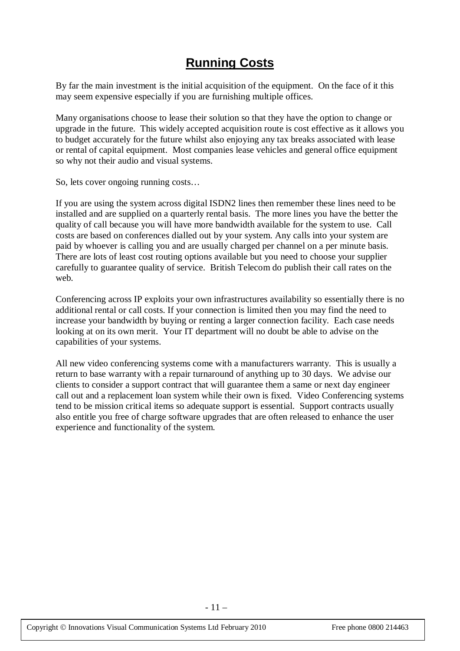### **Running Costs**

By far the main investment is the initial acquisition of the equipment. On the face of it this may seem expensive especially if you are furnishing multiple offices.

Many organisations choose to lease their solution so that they have the option to change or upgrade in the future. This widely accepted acquisition route is cost effective as it allows you to budget accurately for the future whilst also enjoying any tax breaks associated with lease or rental of capital equipment. Most companies lease vehicles and general office equipment so why not their audio and visual systems.

So, lets cover ongoing running costs…

If you are using the system across digital ISDN2 lines then remember these lines need to be installed and are supplied on a quarterly rental basis. The more lines you have the better the quality of call because you will have more bandwidth available for the system to use. Call costs are based on conferences dialled out by your system. Any calls into your system are paid by whoever is calling you and are usually charged per channel on a per minute basis. There are lots of least cost routing options available but you need to choose your supplier carefully to guarantee quality of service. British Telecom do publish their call rates on the web.

Conferencing across IP exploits your own infrastructures availability so essentially there is no additional rental or call costs. If your connection is limited then you may find the need to increase your bandwidth by buying or renting a larger connection facility. Each case needs looking at on its own merit. Your IT department will no doubt be able to advise on the capabilities of your systems.

All new video conferencing systems come with a manufacturers warranty. This is usually a return to base warranty with a repair turnaround of anything up to 30 days. We advise our clients to consider a support contract that will guarantee them a same or next day engineer call out and a replacement loan system while their own is fixed. Video Conferencing systems tend to be mission critical items so adequate support is essential. Support contracts usually also entitle you free of charge software upgrades that are often released to enhance the user experience and functionality of the system.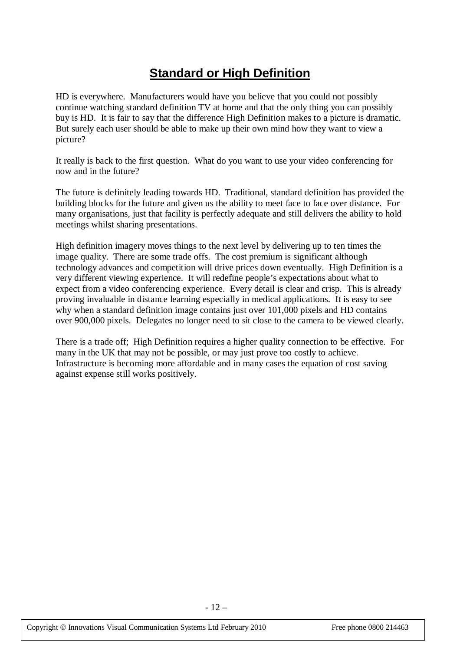### **Standard or High Definition**

HD is everywhere. Manufacturers would have you believe that you could not possibly continue watching standard definition TV at home and that the only thing you can possibly buy is HD. It is fair to say that the difference High Definition makes to a picture is dramatic. But surely each user should be able to make up their own mind how they want to view a picture?

It really is back to the first question. What do you want to use your video conferencing for now and in the future?

The future is definitely leading towards HD. Traditional, standard definition has provided the building blocks for the future and given us the ability to meet face to face over distance. For many organisations, just that facility is perfectly adequate and still delivers the ability to hold meetings whilst sharing presentations.

High definition imagery moves things to the next level by delivering up to ten times the image quality. There are some trade offs. The cost premium is significant although technology advances and competition will drive prices down eventually. High Definition is a very different viewing experience. It will redefine people's expectations about what to expect from a video conferencing experience. Every detail is clear and crisp. This is already proving invaluable in distance learning especially in medical applications. It is easy to see why when a standard definition image contains just over 101,000 pixels and HD contains over 900,000 pixels. Delegates no longer need to sit close to the camera to be viewed clearly.

There is a trade off; High Definition requires a higher quality connection to be effective. For many in the UK that may not be possible, or may just prove too costly to achieve. Infrastructure is becoming more affordable and in many cases the equation of cost saving against expense still works positively.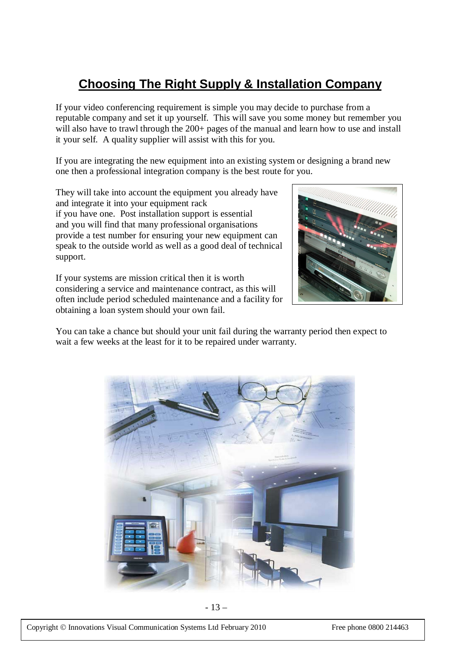# **Choosing The Right Supply & Installation Company**

If your video conferencing requirement is simple you may decide to purchase from a reputable company and set it up yourself. This will save you some money but remember you will also have to trawl through the 200+ pages of the manual and learn how to use and install it your self. A quality supplier will assist with this for you.

If you are integrating the new equipment into an existing system or designing a brand new one then a professional integration company is the best route for you.

They will take into account the equipment you already have and integrate it into your equipment rack if you have one. Post installation support is essential and you will find that many professional organisations provide a test number for ensuring your new equipment can speak to the outside world as well as a good deal of technical support.

If your systems are mission critical then it is worth considering a service and maintenance contract, as this will often include period scheduled maintenance and a facility for obtaining a loan system should your own fail.



You can take a chance but should your unit fail during the warranty period then expect to wait a few weeks at the least for it to be repaired under warranty.